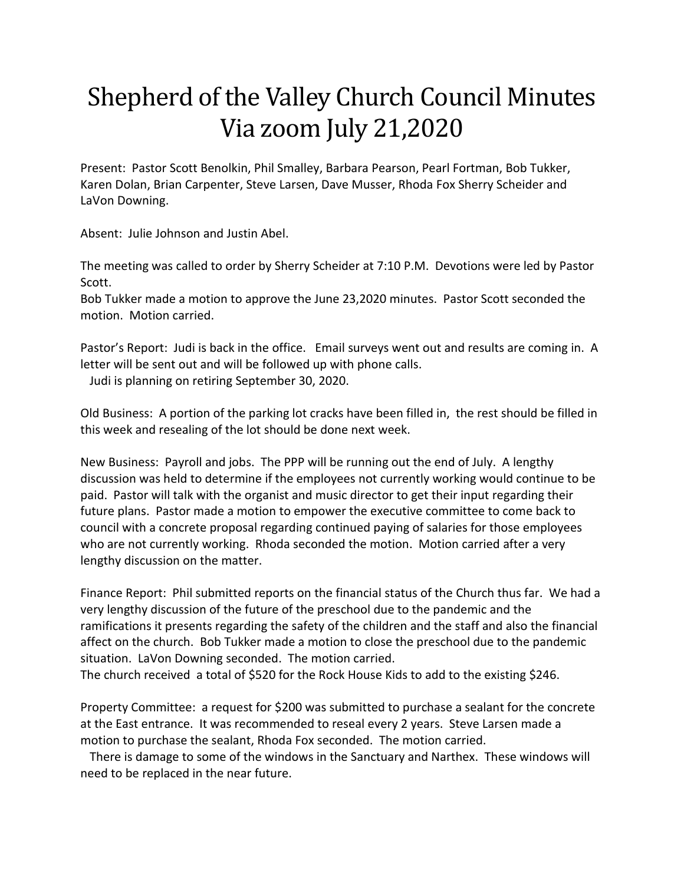## Shepherd of the Valley Church Council Minutes Via zoom July 21,2020

Present: Pastor Scott Benolkin, Phil Smalley, Barbara Pearson, Pearl Fortman, Bob Tukker, Karen Dolan, Brian Carpenter, Steve Larsen, Dave Musser, Rhoda Fox Sherry Scheider and LaVon Downing.

Absent: Julie Johnson and Justin Abel.

The meeting was called to order by Sherry Scheider at 7:10 P.M. Devotions were led by Pastor Scott.

Bob Tukker made a motion to approve the June 23,2020 minutes. Pastor Scott seconded the motion. Motion carried.

Pastor's Report: Judi is back in the office. Email surveys went out and results are coming in. A letter will be sent out and will be followed up with phone calls. Judi is planning on retiring September 30, 2020.

Old Business: A portion of the parking lot cracks have been filled in, the rest should be filled in this week and resealing of the lot should be done next week.

New Business: Payroll and jobs. The PPP will be running out the end of July. A lengthy discussion was held to determine if the employees not currently working would continue to be paid. Pastor will talk with the organist and music director to get their input regarding their future plans. Pastor made a motion to empower the executive committee to come back to council with a concrete proposal regarding continued paying of salaries for those employees who are not currently working. Rhoda seconded the motion. Motion carried after a very lengthy discussion on the matter.

Finance Report: Phil submitted reports on the financial status of the Church thus far. We had a very lengthy discussion of the future of the preschool due to the pandemic and the ramifications it presents regarding the safety of the children and the staff and also the financial affect on the church. Bob Tukker made a motion to close the preschool due to the pandemic situation. LaVon Downing seconded. The motion carried.

The church received a total of \$520 for the Rock House Kids to add to the existing \$246.

Property Committee: a request for \$200 was submitted to purchase a sealant for the concrete at the East entrance. It was recommended to reseal every 2 years. Steve Larsen made a motion to purchase the sealant, Rhoda Fox seconded. The motion carried.

 There is damage to some of the windows in the Sanctuary and Narthex. These windows will need to be replaced in the near future.